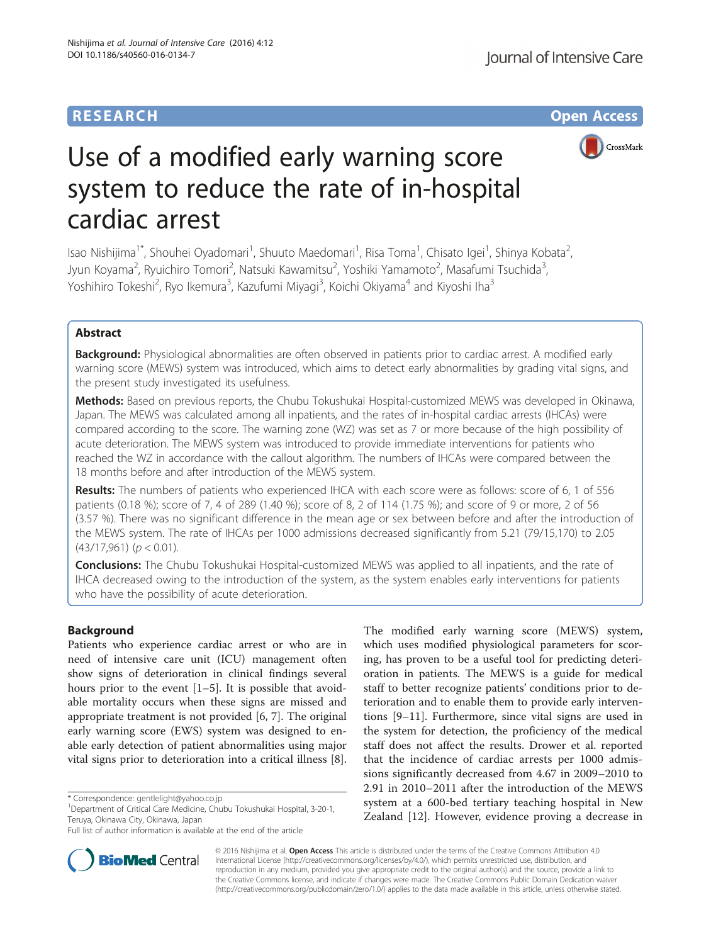# **RESEARCH CHE Open Access**



# Use of a modified early warning score system to reduce the rate of in-hospital cardiac arrest

Isao Nishijima<sup>1\*</sup>, Shouhei Oyadomari<sup>1</sup>, Shuuto Maedomari<sup>1</sup>, Risa Toma<sup>1</sup>, Chisato Igei<sup>1</sup>, Shinya Kobata<sup>2</sup> .<br>, Jyun Koyama<sup>2</sup>, Ryuichiro Tomori<sup>2</sup>, Natsuki Kawamitsu<sup>2</sup>, Yoshiki Yamamoto<sup>2</sup>, Masafumi Tsuchida<sup>3</sup> , Yoshihiro Tokeshi<sup>2</sup>, Ryo Ikemura<sup>3</sup>, Kazufumi Miyagi<sup>3</sup>, Koichi Okiyama<sup>4</sup> and Kiyoshi Iha<sup>3</sup>

# Abstract

Background: Physiological abnormalities are often observed in patients prior to cardiac arrest. A modified early warning score (MEWS) system was introduced, which aims to detect early abnormalities by grading vital signs, and the present study investigated its usefulness.

Methods: Based on previous reports, the Chubu Tokushukai Hospital-customized MEWS was developed in Okinawa, Japan. The MEWS was calculated among all inpatients, and the rates of in-hospital cardiac arrests (IHCAs) were compared according to the score. The warning zone (WZ) was set as 7 or more because of the high possibility of acute deterioration. The MEWS system was introduced to provide immediate interventions for patients who reached the WZ in accordance with the callout algorithm. The numbers of IHCAs were compared between the 18 months before and after introduction of the MEWS system.

Results: The numbers of patients who experienced IHCA with each score were as follows: score of 6, 1 of 556 patients (0.18 %); score of 7, 4 of 289 (1.40 %); score of 8, 2 of 114 (1.75 %); and score of 9 or more, 2 of 56 (3.57 %). There was no significant difference in the mean age or sex between before and after the introduction of the MEWS system. The rate of IHCAs per 1000 admissions decreased significantly from 5.21 (79/15,170) to 2.05  $(43/17,961)$  ( $p < 0.01$ ).

**Conclusions:** The Chubu Tokushukai Hospital-customized MEWS was applied to all inpatients, and the rate of IHCA decreased owing to the introduction of the system, as the system enables early interventions for patients who have the possibility of acute deterioration.

# Background

Patients who experience cardiac arrest or who are in need of intensive care unit (ICU) management often show signs of deterioration in clinical findings several hours prior to the event [[1](#page--1-0)–[5](#page--1-0)]. It is possible that avoidable mortality occurs when these signs are missed and appropriate treatment is not provided [\[6](#page--1-0), [7](#page--1-0)]. The original early warning score (EWS) system was designed to enable early detection of patient abnormalities using major vital signs prior to deterioration into a critical illness [\[8](#page--1-0)].

Department of Critical Care Medicine, Chubu Tokushukai Hospital, 3-20-1, Teruya, Okinawa City, Okinawa, Japan

The modified early warning score (MEWS) system, which uses modified physiological parameters for scoring, has proven to be a useful tool for predicting deterioration in patients. The MEWS is a guide for medical staff to better recognize patients' conditions prior to deterioration and to enable them to provide early interventions [\[9](#page--1-0)–[11\]](#page--1-0). Furthermore, since vital signs are used in the system for detection, the proficiency of the medical staff does not affect the results. Drower et al. reported that the incidence of cardiac arrests per 1000 admissions significantly decreased from 4.67 in 2009–2010 to 2.91 in 2010–2011 after the introduction of the MEWS system at a 600-bed tertiary teaching hospital in New Zealand [[12](#page--1-0)]. However, evidence proving a decrease in



© 2016 Nishijima et al. Open Access This article is distributed under the terms of the Creative Commons Attribution 4.0 International License [\(http://creativecommons.org/licenses/by/4.0/](http://creativecommons.org/licenses/by/4.0/)), which permits unrestricted use, distribution, and reproduction in any medium, provided you give appropriate credit to the original author(s) and the source, provide a link to the Creative Commons license, and indicate if changes were made. The Creative Commons Public Domain Dedication waiver [\(http://creativecommons.org/publicdomain/zero/1.0/](http://creativecommons.org/publicdomain/zero/1.0/)) applies to the data made available in this article, unless otherwise stated.

<sup>\*</sup> Correspondence: [gentlelight@yahoo.co.jp](mailto:gentlelight@yahoo.co.jp) <sup>1</sup>

Full list of author information is available at the end of the article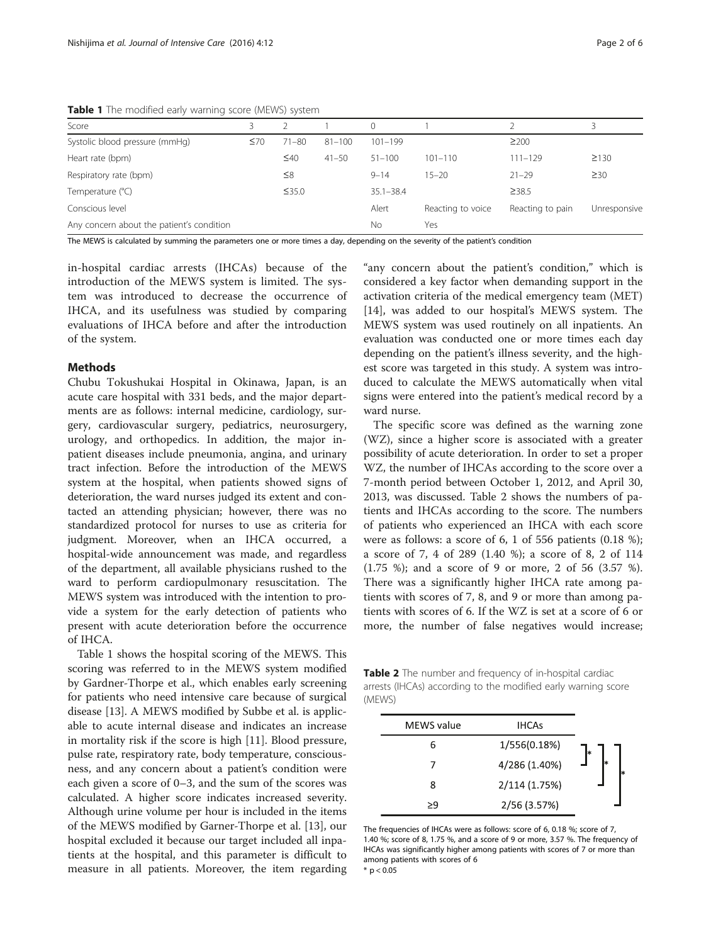Table 1 The modified early warning score (MEWS) system

| Score                                     |           |             |            | $\Omega$      |                   |                  |              |
|-------------------------------------------|-----------|-------------|------------|---------------|-------------------|------------------|--------------|
| Systolic blood pressure (mmHg)            | $\leq 70$ | $71 - 80$   | $81 - 100$ | $101 - 199$   |                   | $\geq$ 200       |              |
| Heart rate (bpm)                          |           | $\leq 40$   | $41 - 50$  | $51 - 100$    | $101 - 110$       | $111 - 129$      | $\geq$ 130   |
| Respiratory rate (bpm)                    |           | $\leq 8$    |            | $9 - 14$      | $15 - 20$         | $21 - 29$        | $\geq$ 30    |
| Temperature (°C)                          |           | $\leq$ 35.0 |            | $35.1 - 38.4$ |                   | $\geq$ 38.5      |              |
| Conscious level                           |           |             |            | Alert         | Reacting to voice | Reacting to pain | Unresponsive |
| Any concern about the patient's condition |           |             |            | No            | Yes               |                  |              |

The MEWS is calculated by summing the parameters one or more times a day, depending on the severity of the patient's condition

in-hospital cardiac arrests (IHCAs) because of the introduction of the MEWS system is limited. The system was introduced to decrease the occurrence of IHCA, and its usefulness was studied by comparing evaluations of IHCA before and after the introduction of the system.

### Methods

Chubu Tokushukai Hospital in Okinawa, Japan, is an acute care hospital with 331 beds, and the major departments are as follows: internal medicine, cardiology, surgery, cardiovascular surgery, pediatrics, neurosurgery, urology, and orthopedics. In addition, the major inpatient diseases include pneumonia, angina, and urinary tract infection. Before the introduction of the MEWS system at the hospital, when patients showed signs of deterioration, the ward nurses judged its extent and contacted an attending physician; however, there was no standardized protocol for nurses to use as criteria for judgment. Moreover, when an IHCA occurred, a hospital-wide announcement was made, and regardless of the department, all available physicians rushed to the ward to perform cardiopulmonary resuscitation. The MEWS system was introduced with the intention to provide a system for the early detection of patients who present with acute deterioration before the occurrence of IHCA.

Table 1 shows the hospital scoring of the MEWS. This scoring was referred to in the MEWS system modified by Gardner-Thorpe et al., which enables early screening for patients who need intensive care because of surgical disease [\[13](#page--1-0)]. A MEWS modified by Subbe et al. is applicable to acute internal disease and indicates an increase in mortality risk if the score is high [[11\]](#page--1-0). Blood pressure, pulse rate, respiratory rate, body temperature, consciousness, and any concern about a patient's condition were each given a score of 0–3, and the sum of the scores was calculated. A higher score indicates increased severity. Although urine volume per hour is included in the items of the MEWS modified by Garner-Thorpe et al. [\[13](#page--1-0)], our hospital excluded it because our target included all inpatients at the hospital, and this parameter is difficult to measure in all patients. Moreover, the item regarding

"any concern about the patient's condition," which is considered a key factor when demanding support in the activation criteria of the medical emergency team (MET) [[14\]](#page--1-0), was added to our hospital's MEWS system. The MEWS system was used routinely on all inpatients. An evaluation was conducted one or more times each day depending on the patient's illness severity, and the highest score was targeted in this study. A system was introduced to calculate the MEWS automatically when vital signs were entered into the patient's medical record by a ward nurse.

The specific score was defined as the warning zone (WZ), since a higher score is associated with a greater possibility of acute deterioration. In order to set a proper WZ, the number of IHCAs according to the score over a 7-month period between October 1, 2012, and April 30, 2013, was discussed. Table 2 shows the numbers of patients and IHCAs according to the score. The numbers of patients who experienced an IHCA with each score were as follows: a score of 6, 1 of 556 patients (0.18 %); a score of 7, 4 of 289 (1.40 %); a score of 8, 2 of 114 (1.75 %); and a score of 9 or more, 2 of 56 (3.57 %). There was a significantly higher IHCA rate among patients with scores of 7, 8, and 9 or more than among patients with scores of 6. If the WZ is set at a score of 6 or more, the number of false negatives would increase;

Table 2 The number and frequency of in-hospital cardiac arrests (IHCAs) according to the modified early warning score (MEWS)

| MEWS value | <b>IHCAs</b>  |  |
|------------|---------------|--|
| 6          | 1/556(0.18%)  |  |
|            | 4/286 (1.40%) |  |
| 8          | 2/114 (1.75%) |  |
| 59         | 2/56 (3.57%)  |  |

The frequencies of IHCAs were as follows: score of 6, 0.18 %; score of 7, 1.40 %; score of 8, 1.75 %, and a score of 9 or more, 3.57 %. The frequency of IHCAs was significantly higher among patients with scores of 7 or more than among patients with scores of 6

 $*$  p < 0.05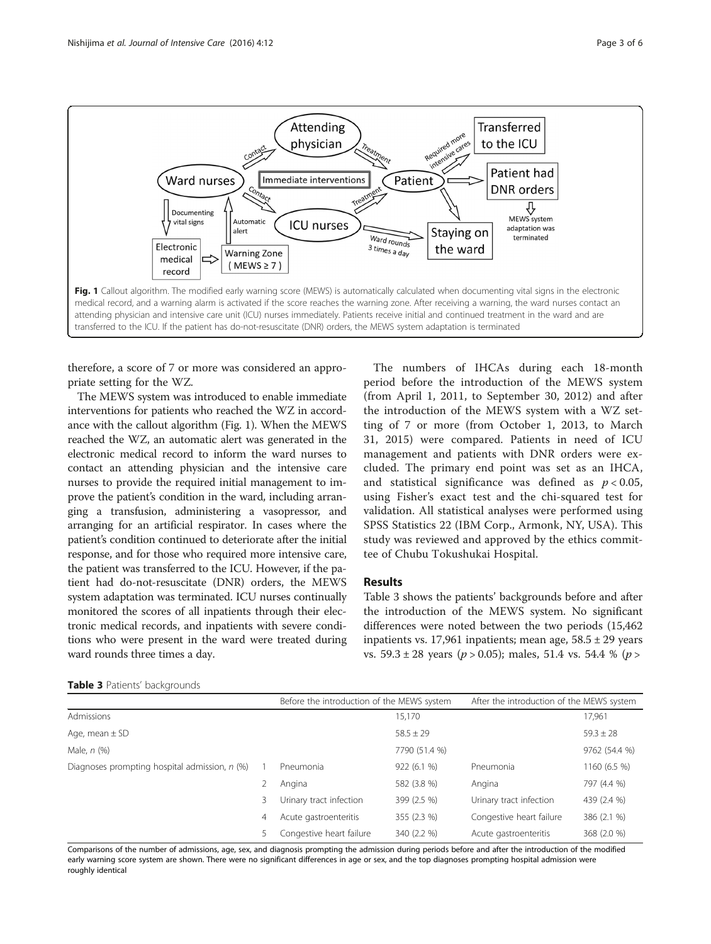

therefore, a score of 7 or more was considered an appropriate setting for the WZ.

The MEWS system was introduced to enable immediate interventions for patients who reached the WZ in accordance with the callout algorithm (Fig. 1). When the MEWS reached the WZ, an automatic alert was generated in the electronic medical record to inform the ward nurses to contact an attending physician and the intensive care nurses to provide the required initial management to improve the patient's condition in the ward, including arranging a transfusion, administering a vasopressor, and arranging for an artificial respirator. In cases where the patient's condition continued to deteriorate after the initial response, and for those who required more intensive care, the patient was transferred to the ICU. However, if the patient had do-not-resuscitate (DNR) orders, the MEWS system adaptation was terminated. ICU nurses continually monitored the scores of all inpatients through their electronic medical records, and inpatients with severe conditions who were present in the ward were treated during ward rounds three times a day.

The numbers of IHCAs during each 18-month period before the introduction of the MEWS system (from April 1, 2011, to September 30, 2012) and after the introduction of the MEWS system with a WZ setting of 7 or more (from October 1, 2013, to March 31, 2015) were compared. Patients in need of ICU management and patients with DNR orders were excluded. The primary end point was set as an IHCA, and statistical significance was defined as  $p < 0.05$ , using Fisher's exact test and the chi-squared test for validation. All statistical analyses were performed using SPSS Statistics 22 (IBM Corp., Armonk, NY, USA). This study was reviewed and approved by the ethics committee of Chubu Tokushukai Hospital.

## Results

Table 3 shows the patients' backgrounds before and after the introduction of the MEWS system. No significant differences were noted between the two periods (15,462 inpatients vs. 17,961 inpatients; mean age,  $58.5 \pm 29$  years vs.  $59.3 \pm 28$  years ( $p > 0.05$ ); males, 51.4 vs. 54.4 % ( $p >$ 

# Table 3 Patients' backgrounds

|                                               |   | Before the introduction of the MEWS system |               | After the introduction of the MEWS system |               |
|-----------------------------------------------|---|--------------------------------------------|---------------|-------------------------------------------|---------------|
| Admissions                                    |   |                                            | 15,170        |                                           | 17,961        |
| Age, mean $\pm$ SD                            |   |                                            | $58.5 \pm 29$ |                                           | $59.3 \pm 28$ |
| Male, $n$ $(\%)$                              |   |                                            | 7790 (51.4 %) |                                           | 9762 (54.4 %) |
| Diagnoses prompting hospital admission, n (%) |   | Pneumonia                                  | 922 (6.1 %)   | Pneumonia                                 | 1160 (6.5 %)  |
|                                               |   | Angina                                     | 582 (3.8 %)   | Angina                                    | 797 (4.4 %)   |
|                                               | 3 | Urinary tract infection                    | 399 (2.5 %)   | Urinary tract infection                   | 439 (2.4 %)   |
|                                               | 4 | Acute gastroenteritis                      | 355 (2.3 %)   | Congestive heart failure                  | 386 (2.1 %)   |
|                                               |   | Congestive heart failure                   | 340 (2.2 %)   | Acute gastroenteritis                     | 368 (2.0 %)   |

Comparisons of the number of admissions, age, sex, and diagnosis prompting the admission during periods before and after the introduction of the modified early warning score system are shown. There were no significant differences in age or sex, and the top diagnoses prompting hospital admission were roughly identical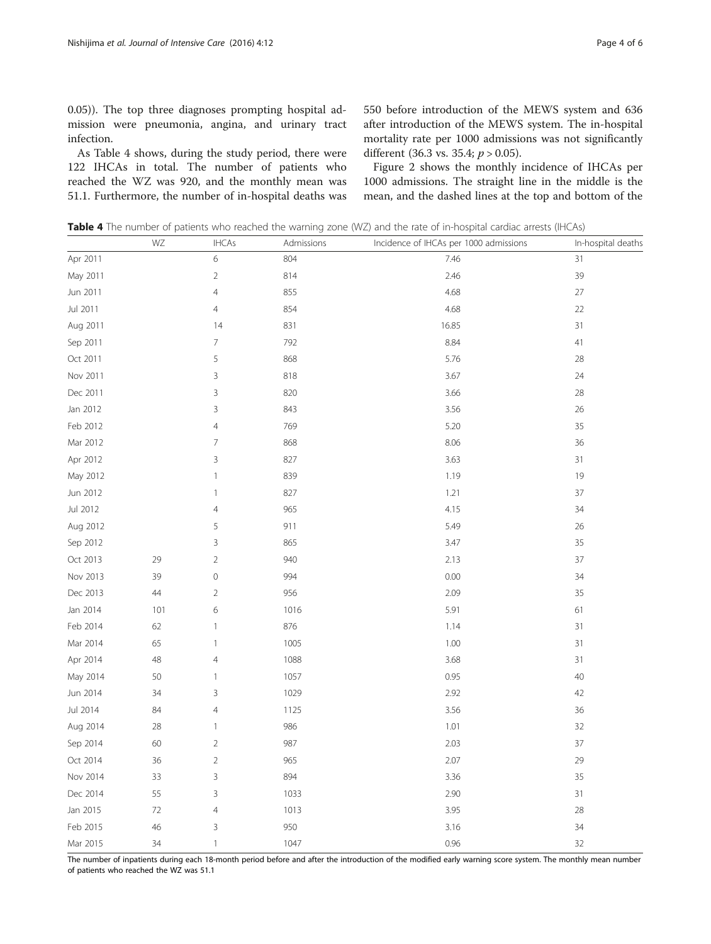0.05)). The top three diagnoses prompting hospital admission were pneumonia, angina, and urinary tract infection.

As Table 4 shows, during the study period, there were 122 IHCAs in total. The number of patients who reached the WZ was 920, and the monthly mean was 51.1. Furthermore, the number of in-hospital deaths was

550 before introduction of the MEWS system and 636 after introduction of the MEWS system. The in-hospital mortality rate per 1000 admissions was not significantly different (36.3 vs. 35.4;  $p > 0.05$ ).

Figure [2](#page-4-0) shows the monthly incidence of IHCAs per 1000 admissions. The straight line in the middle is the mean, and the dashed lines at the top and bottom of the

Table 4 The number of patients who reached the warning zone (WZ) and the rate of in-hospital cardiac arrests (IHCAs)

|          | WZ   | <b>IHCAs</b>              | Admissions | Incidence of IHCAs per 1000 admissions | In-hospital deaths |
|----------|------|---------------------------|------------|----------------------------------------|--------------------|
| Apr 2011 |      | 6                         | 804        | 7.46                                   | 31                 |
| May 2011 |      | $\sqrt{2}$                | 814        | 2.46                                   | 39                 |
| Jun 2011 |      | $\overline{4}$            | 855        | 4.68                                   | $27\,$             |
| Jul 2011 |      | $\overline{4}$            | 854        | 4.68                                   | 22                 |
| Aug 2011 |      | 14                        | 831        | 16.85                                  | 31                 |
| Sep 2011 |      | $\overline{7}$            | 792        | 8.84                                   | 41                 |
| Oct 2011 |      | 5                         | 868        | 5.76                                   | 28                 |
| Nov 2011 |      | $\mathsf 3$               | 818        | 3.67                                   | 24                 |
| Dec 2011 |      | $\mathsf 3$               | 820        | 3.66                                   | 28                 |
| Jan 2012 |      | $\mathsf 3$               | 843        | 3.56                                   | 26                 |
| Feb 2012 |      | $\overline{4}$            | 769        | 5.20                                   | 35                 |
| Mar 2012 |      | $\overline{7}$            | 868        | 8.06                                   | 36                 |
| Apr 2012 |      | 3                         | 827        | 3.63                                   | 31                 |
| May 2012 |      | $\ensuremath{\mathsf{1}}$ | 839        | 1.19                                   | 19                 |
| Jun 2012 |      | 1                         | 827        | 1.21                                   | 37                 |
| Jul 2012 |      | $\overline{4}$            | 965        | 4.15                                   | 34                 |
| Aug 2012 |      | 5                         | 911        | 5.49                                   | 26                 |
| Sep 2012 |      | $\mathsf 3$               | 865        | 3.47                                   | 35                 |
| Oct 2013 | 29   | $\overline{2}$            | 940        | 2.13                                   | 37                 |
| Nov 2013 | 39   | $\hbox{O}$                | 994        | 0.00                                   | 34                 |
| Dec 2013 | 44   | $\overline{2}$            | 956        | 2.09                                   | 35                 |
| Jan 2014 | 101  | 6                         | 1016       | 5.91                                   | 61                 |
| Feb 2014 | 62   | $\ensuremath{\mathsf{1}}$ | 876        | 1.14                                   | 31                 |
| Mar 2014 | 65   | $\ensuremath{\mathsf{1}}$ | 1005       | 1.00                                   | 31                 |
| Apr 2014 | 48   | $\overline{4}$            | 1088       | 3.68                                   | 31                 |
| May 2014 | 50   | $\ensuremath{\mathsf{1}}$ | 1057       | 0.95                                   | 40                 |
| Jun 2014 | 34   | 3                         | 1029       | 2.92                                   | 42                 |
| Jul 2014 | 84   | $\overline{4}$            | 1125       | 3.56                                   | 36                 |
| Aug 2014 | 28   | $\ensuremath{\mathsf{1}}$ | 986        | 1.01                                   | 32                 |
| Sep 2014 | 60   | $\overline{2}$            | 987        | 2.03                                   | 37                 |
| Oct 2014 | 36   | $\overline{2}$            | 965        | 2.07                                   | 29                 |
| Nov 2014 | 33   | 3                         | 894        | 3.36                                   | 35                 |
| Dec 2014 | 55   | $\ensuremath{\mathsf{3}}$ | 1033       | 2.90                                   | 31                 |
| Jan 2015 | $72$ | $\overline{4}$            | 1013       | 3.95                                   | $28\,$             |
| Feb 2015 | 46   | 3                         | 950        | 3.16                                   | 34                 |
| Mar 2015 | 34   | $\mathbbm{1}$             | 1047       | 0.96                                   | 32                 |

The number of inpatients during each 18-month period before and after the introduction of the modified early warning score system. The monthly mean number of patients who reached the WZ was 51.1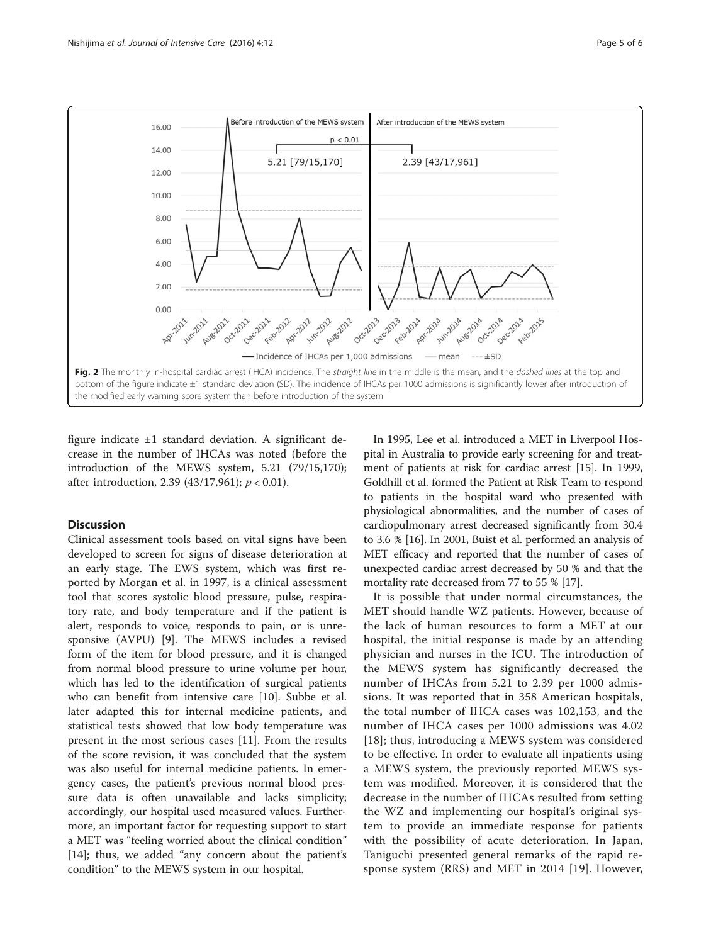<span id="page-4-0"></span>

figure indicate ±1 standard deviation. A significant decrease in the number of IHCAs was noted (before the introduction of the MEWS system, 5.21 (79/15,170); after introduction, 2.39 (43/17,961);  $p < 0.01$ ).

## **Discussion**

Clinical assessment tools based on vital signs have been developed to screen for signs of disease deterioration at an early stage. The EWS system, which was first reported by Morgan et al. in 1997, is a clinical assessment tool that scores systolic blood pressure, pulse, respiratory rate, and body temperature and if the patient is alert, responds to voice, responds to pain, or is unresponsive (AVPU) [[9](#page--1-0)]. The MEWS includes a revised form of the item for blood pressure, and it is changed from normal blood pressure to urine volume per hour, which has led to the identification of surgical patients who can benefit from intensive care [[10\]](#page--1-0). Subbe et al. later adapted this for internal medicine patients, and statistical tests showed that low body temperature was present in the most serious cases [[11](#page--1-0)]. From the results of the score revision, it was concluded that the system was also useful for internal medicine patients. In emergency cases, the patient's previous normal blood pressure data is often unavailable and lacks simplicity; accordingly, our hospital used measured values. Furthermore, an important factor for requesting support to start a MET was "feeling worried about the clinical condition" [[14\]](#page--1-0); thus, we added "any concern about the patient's condition" to the MEWS system in our hospital.

In 1995, Lee et al. introduced a MET in Liverpool Hospital in Australia to provide early screening for and treatment of patients at risk for cardiac arrest [[15](#page--1-0)]. In 1999, Goldhill et al. formed the Patient at Risk Team to respond to patients in the hospital ward who presented with physiological abnormalities, and the number of cases of cardiopulmonary arrest decreased significantly from 30.4 to 3.6 % [[16](#page--1-0)]. In 2001, Buist et al. performed an analysis of MET efficacy and reported that the number of cases of unexpected cardiac arrest decreased by 50 % and that the mortality rate decreased from 77 to 55 % [[17](#page--1-0)].

It is possible that under normal circumstances, the MET should handle WZ patients. However, because of the lack of human resources to form a MET at our hospital, the initial response is made by an attending physician and nurses in the ICU. The introduction of the MEWS system has significantly decreased the number of IHCAs from 5.21 to 2.39 per 1000 admissions. It was reported that in 358 American hospitals, the total number of IHCA cases was 102,153, and the number of IHCA cases per 1000 admissions was 4.02 [[18](#page--1-0)]; thus, introducing a MEWS system was considered to be effective. In order to evaluate all inpatients using a MEWS system, the previously reported MEWS system was modified. Moreover, it is considered that the decrease in the number of IHCAs resulted from setting the WZ and implementing our hospital's original system to provide an immediate response for patients with the possibility of acute deterioration. In Japan, Taniguchi presented general remarks of the rapid response system (RRS) and MET in 2014 [[19](#page--1-0)]. However,